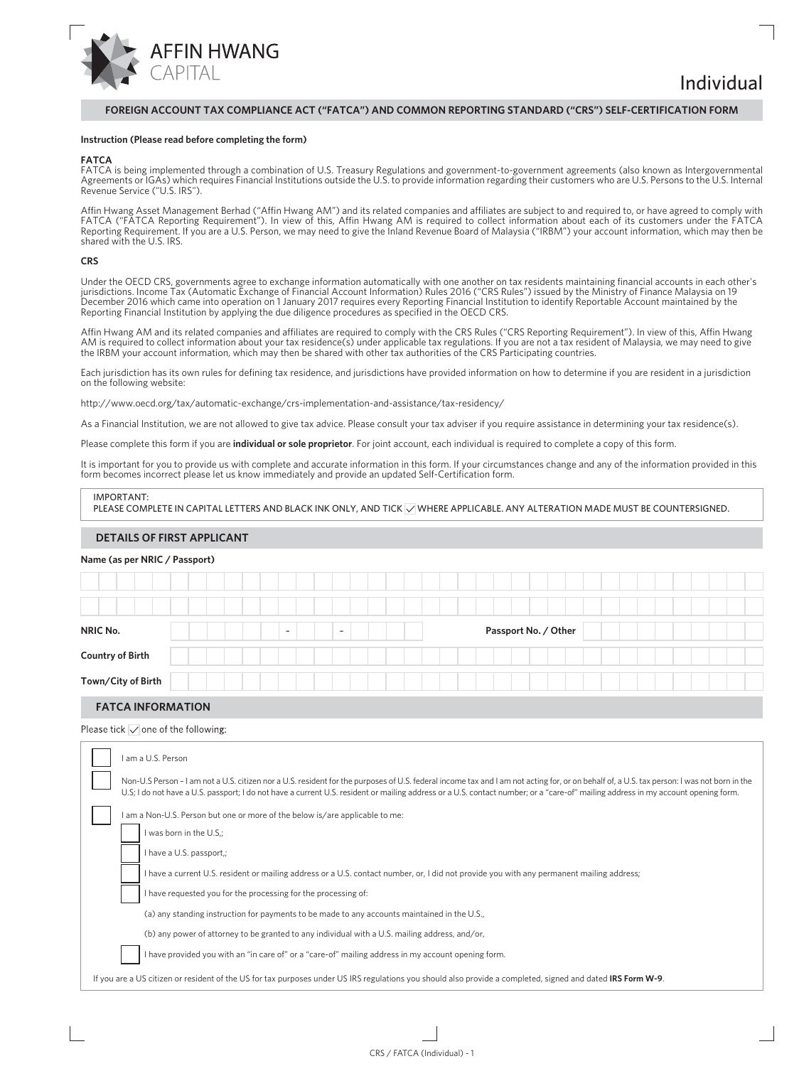

Individual

## **FOREIGN ACCOUNT TAX COMPLIANCE ACT ("FATCA") AND COMMON REPORTING STANDARD ("CRS") SELF-CERTIFICATION FORM**

### **Instruction (Please read before completing the form)**

## **FATCA**

FATCA is being implemented through a combination of U.S. Treasury Regulations and government-to-government agreements (also known as Intergovernmental Agreements or IGAs) which requires Financial Institutions outside the U.S. to provide information regarding their customers who are U.S. Persons to the U.S. Internal Revenue Service ("U.S. IRS").

Affin Hwang Asset Management Berhad ("Affin Hwang AM") and its related companies and affiliates are subject to and required to, or have agreed to comply with FATCA ("FATCA Reporting Requirement"). In view of this, Affin Hwang AM is required to collect information about each of its customers under the FATCA Reporting Requirement. If you are a U.S. Person, we may need to give the Inland Revenue Board of Malaysia ("IRBM") your account information, which may then be shared with the U.S. IRS.

### **CRS**

Under the OECD CRS, governments agree to exchange information automatically with one another on tax residents maintaining financial accounts in each other's jurisdictions. Income Tax (Automatic Exchange of Financial Account Information) Rules 2016 ("CRS Rules") issued by the Ministry of Finance Malaysia on 19 December 2016 which came into operation on 1 January 2017 requires every Reporting Financial Institution to identify Reportable Account maintained by the Reporting Financial Institution by applying the due diligence procedures as specified in the OECD CRS.

Affin Hwang AM and its related companies and affiliates are required to comply with the CRS Rules ("CRS Reporting Requirement"). In view of this, Affin Hwang AM is required to collect information about your tax residence(s) under applicable tax regulations. If you are not a tax resident of Malaysia, we may need to give the IRBM your account information, which may then be shared with other tax authorities of the CRS Participating countries.

Each jurisdiction has its own rules for defining tax residence, and jurisdictions have provided information on how to determine if you are resident in a jurisdiction on the following website:

http://www.oecd.org/tax/automatic-exchange/crs-implementation-and-assistance/tax-residency/

As a Financial Institution, we are not allowed to give tax advice. Please consult your tax adviser if you require assistance in determining your tax residence(s).

Please complete this form if you are **individual or sole proprietor**. For joint account, each individual is required to complete a copy of this form.

It is important for you to provide us with complete and accurate information in this form. If your circumstances change and any of the information provided in this form becomes incorrect please let us know immediately and provide an updated Self-Certification form.

### IMPORTANT:

PLEASE COMPLETE IN CAPITAL LETTERS AND BLACK INK ONLY, AND TICK WHERE APPLICABLE. ANY ALTERATION MADE MUST BE COUNTERSIGNED.

## **DETAILS OF FIRST APPLICANT**

### **Name (as per NRIC / Passport)**

| NRIC No.                |  |  | $\overline{\phantom{0}}$ |  | $\overline{\phantom{a}}$ |  |  |  |  | Passport No. / Other |  |  |  |  |  |  |  |
|-------------------------|--|--|--------------------------|--|--------------------------|--|--|--|--|----------------------|--|--|--|--|--|--|--|
| <b>Country of Birth</b> |  |  |                          |  |                          |  |  |  |  |                      |  |  |  |  |  |  |  |
| Town/City of Birth      |  |  |                          |  |                          |  |  |  |  |                      |  |  |  |  |  |  |  |

## **FATCA INFORMATION**

Please tick  $\overline{\smile}$  one of the following:

| am a U.S. Person                                                                                                                                                                                                                                                                                                                                                                 |
|----------------------------------------------------------------------------------------------------------------------------------------------------------------------------------------------------------------------------------------------------------------------------------------------------------------------------------------------------------------------------------|
| Non-U.S Person - I am not a U.S. citizen nor a U.S. resident for the purposes of U.S. federal income tax and I am not acting for, or on behalf of, a U.S. tax person: I was not born in the<br>U.S; I do not have a U.S. passport; I do not have a current U.S. resident or mailing address or a U.S. contact number; or a "care-of" mailing address in my account opening form. |
| I am a Non-U.S. Person but one or more of the below is/are applicable to me:<br>I was born in the U.S.;                                                                                                                                                                                                                                                                          |
| I have a U.S. passport,;                                                                                                                                                                                                                                                                                                                                                         |
| I have a current U.S. resident or mailing address or a U.S. contact number, or, I did not provide you with any permanent mailing address;<br>I have requested you for the processing for the processing of:                                                                                                                                                                      |
| (a) any standing instruction for payments to be made to any accounts maintained in the U.S.,                                                                                                                                                                                                                                                                                     |
| (b) any power of attorney to be granted to any individual with a U.S. mailing address, and/or,                                                                                                                                                                                                                                                                                   |
| I have provided you with an "in care of" or a "care-of" mailing address in my account opening form.                                                                                                                                                                                                                                                                              |
| If you are a US citizen or resident of the US for tax purposes under US IRS regulations you should also provide a completed, signed and dated IRS Form W-9.                                                                                                                                                                                                                      |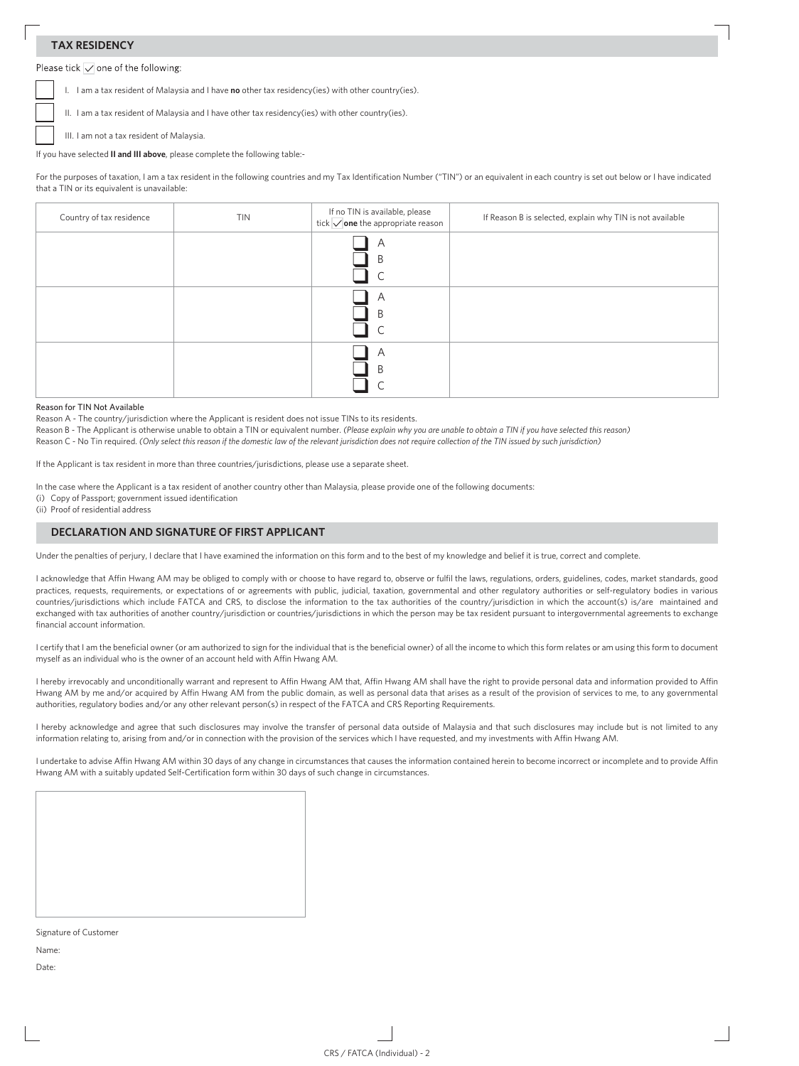# **TAX RESIDENCY**

Please tick  $\overline{\smile}$  one of the following:

I. I am a tax resident of Malaysia and I have **no** other tax residency(ies) with other country(ies).

II. I am a tax resident of Malaysia and I have other tax residency(ies) with other country(ies).

III. I am not a tax resident of Malaysia.

If you have selected **II and III above**, please complete the following table:-

For the purposes of taxation, I am a tax resident in the following countries and my Tax Identification Number ("TIN") or an equivalent in each country is set out below or I have indicated that a TIN or its equivalent is unavailable:

| Country of tax residence | <b>TIN</b> | If no TIN is available, please<br>tick $\sqrt{\,}$ one the appropriate reason | If Reason B is selected, explain why TIN is not available |
|--------------------------|------------|-------------------------------------------------------------------------------|-----------------------------------------------------------|
|                          |            | A<br>B                                                                        |                                                           |
|                          |            | A<br>B                                                                        |                                                           |
|                          |            | A<br>B                                                                        |                                                           |

### Reason for TIN Not Available

Reason A - The country/jurisdiction where the Applicant is resident does not issue TINs to its residents.

Reason B - The Applicant is otherwise unable to obtain a TIN or equivalent number. *(Please explain why you are unable to obtain a TIN if you have selected this reason)*

Reason C - No Tin required. *(Only select this reason if the domestic law of the relevant jurisdiction does not require collection of the TIN issued by such jurisdiction)*

If the Applicant is tax resident in more than three countries/jurisdictions, please use a separate sheet.

In the case where the Applicant is a tax resident of another country other than Malaysia, please provide one of the following documents:

(i) Copy of Passport; government issued identification

(ii) Proof of residential address

## **DECLARATION AND SIGNATURE OF FIRST APPLICANT**

Under the penalties of perjury, I declare that I have examined the information on this form and to the best of my knowledge and belief it is true, correct and complete.

I acknowledge that Affin Hwang AM may be obliged to comply with or choose to have regard to, observe or fulfil the laws, regulations, orders, guidelines, codes, market standards, good practices, requests, requirements, or expectations of or agreements with public, judicial, taxation, governmental and other regulatory authorities or self-regulatory bodies in various countries/jurisdictions which include FATCA and CRS, to disclose the information to the tax authorities of the country/jurisdiction in which the account(s) is/are maintained and exchanged with tax authorities of another country/jurisdiction or countries/jurisdictions in which the person may be tax resident pursuant to intergovernmental agreements to exchange financial account information.

I certify that I am the beneficial owner (or am authorized to sign for the individual that is the beneficial owner) of all the income to which this form relates or am using this form to document myself as an individual who is the owner of an account held with Affin Hwang AM.

I hereby irrevocably and unconditionally warrant and represent to Affin Hwang AM that, Affin Hwang AM shall have the right to provide personal data and information provided to Affin Hwang AM by me and/or acquired by Affin Hwang AM from the public domain, as well as personal data that arises as a result of the provision of services to me, to any governmental authorities, regulatory bodies and/or any other relevant person(s) in respect of the FATCA and CRS Reporting Requirements.

I hereby acknowledge and agree that such disclosures may involve the transfer of personal data outside of Malaysia and that such disclosures may include but is not limited to any information relating to, arising from and/or in connection with the provision of the services which I have requested, and my investments with Affin Hwang AM.

I undertake to advise Affin Hwang AM within 30 days of any change in circumstances that causes the information contained herein to become incorrect or incomplete and to provide Affin Hwang AM with a suitably updated Self-Certification form within 30 days of such change in circumstances.

Signature of Customer Name:

Date: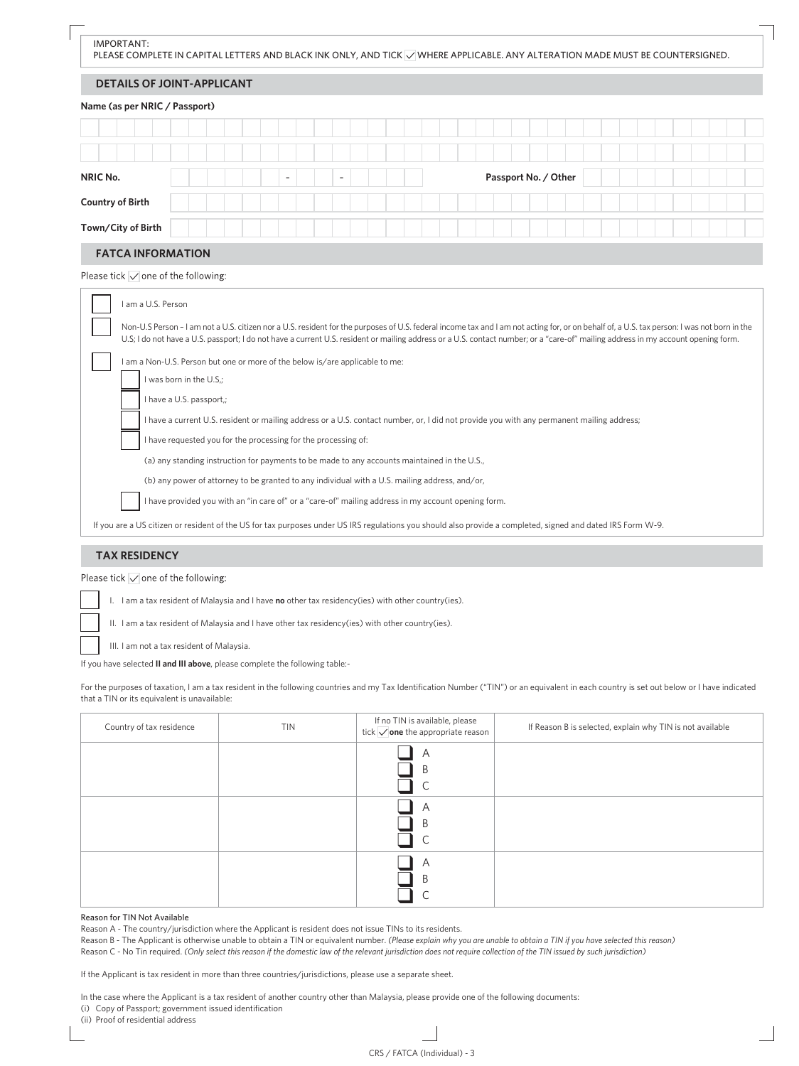|                               | <b>DETAILS OF JOINT-APPLICANT</b>                                                                                                                                                                                                                                                                                                                                                |  |  |  |                          |  |  |  |                      |  |  |  |  |  |  |
|-------------------------------|----------------------------------------------------------------------------------------------------------------------------------------------------------------------------------------------------------------------------------------------------------------------------------------------------------------------------------------------------------------------------------|--|--|--|--------------------------|--|--|--|----------------------|--|--|--|--|--|--|
| Name (as per NRIC / Passport) |                                                                                                                                                                                                                                                                                                                                                                                  |  |  |  |                          |  |  |  |                      |  |  |  |  |  |  |
|                               |                                                                                                                                                                                                                                                                                                                                                                                  |  |  |  |                          |  |  |  |                      |  |  |  |  |  |  |
|                               |                                                                                                                                                                                                                                                                                                                                                                                  |  |  |  |                          |  |  |  |                      |  |  |  |  |  |  |
| <b>NRIC No.</b>               |                                                                                                                                                                                                                                                                                                                                                                                  |  |  |  | $\overline{\phantom{a}}$ |  |  |  | Passport No. / Other |  |  |  |  |  |  |
| <b>Country of Birth</b>       |                                                                                                                                                                                                                                                                                                                                                                                  |  |  |  |                          |  |  |  |                      |  |  |  |  |  |  |
|                               |                                                                                                                                                                                                                                                                                                                                                                                  |  |  |  |                          |  |  |  |                      |  |  |  |  |  |  |
| Town/City of Birth            |                                                                                                                                                                                                                                                                                                                                                                                  |  |  |  |                          |  |  |  |                      |  |  |  |  |  |  |
| <b>FATCA INFORMATION</b>      |                                                                                                                                                                                                                                                                                                                                                                                  |  |  |  |                          |  |  |  |                      |  |  |  |  |  |  |
| I am a U.S. Person            |                                                                                                                                                                                                                                                                                                                                                                                  |  |  |  |                          |  |  |  |                      |  |  |  |  |  |  |
|                               |                                                                                                                                                                                                                                                                                                                                                                                  |  |  |  |                          |  |  |  |                      |  |  |  |  |  |  |
|                               | Non-U.S Person - I am not a U.S. citizen nor a U.S. resident for the purposes of U.S. federal income tax and I am not acting for, or on behalf of, a U.S. tax person: I was not born in the<br>U.S; I do not have a U.S. passport; I do not have a current U.S. resident or mailing address or a U.S. contact number; or a "care-of" mailing address in my account opening form. |  |  |  |                          |  |  |  |                      |  |  |  |  |  |  |
|                               | I am a Non-U.S. Person but one or more of the below is/are applicable to me:                                                                                                                                                                                                                                                                                                     |  |  |  |                          |  |  |  |                      |  |  |  |  |  |  |
|                               | I was born in the U.S.;<br>I have a U.S. passport,;                                                                                                                                                                                                                                                                                                                              |  |  |  |                          |  |  |  |                      |  |  |  |  |  |  |
|                               | I have a current U.S. resident or mailing address or a U.S. contact number, or, I did not provide you with any permanent mailing address;                                                                                                                                                                                                                                        |  |  |  |                          |  |  |  |                      |  |  |  |  |  |  |
|                               | I have requested you for the processing for the processing of:                                                                                                                                                                                                                                                                                                                   |  |  |  |                          |  |  |  |                      |  |  |  |  |  |  |
|                               | (a) any standing instruction for payments to be made to any accounts maintained in the U.S.,                                                                                                                                                                                                                                                                                     |  |  |  |                          |  |  |  |                      |  |  |  |  |  |  |
|                               | (b) any power of attorney to be granted to any individual with a U.S. mailing address, and/or,                                                                                                                                                                                                                                                                                   |  |  |  |                          |  |  |  |                      |  |  |  |  |  |  |
|                               | I have provided you with an "in care of" or a "care-of" mailing address in my account opening form.                                                                                                                                                                                                                                                                              |  |  |  |                          |  |  |  |                      |  |  |  |  |  |  |

Please tick  $\overline{\smile}$  one of the following:

I. I am a tax resident of Malaysia and I have **no** other tax residency(ies) with other country(ies).

II. I am a tax resident of Malaysia and I have other tax residency(ies) with other country(ies).

III. I am not a tax resident of Malaysia.

If you have selected **II and III above**, please complete the following table:-

For the purposes of taxation, I am a tax resident in the following countries and my Tax Identification Number ("TIN") or an equivalent in each country is set out below or I have indicated that a TIN or its equivalent is unavailable:

| Country of tax residence | TIN | If no TIN is available, please<br>tick $\bigvee$ one the appropriate reason | If Reason B is selected, explain why TIN is not available |
|--------------------------|-----|-----------------------------------------------------------------------------|-----------------------------------------------------------|
|                          |     | Α<br>B                                                                      |                                                           |
|                          |     | Α<br>B                                                                      |                                                           |
|                          |     | Α<br>B                                                                      |                                                           |

## Reason for TIN Not Available

Reason A - The country/jurisdiction where the Applicant is resident does not issue TINs to its residents.

Reason B - The Applicant is otherwise unable to obtain a TIN or equivalent number. *(Please explain why you are unable to obtain a TIN if you have selected this reason)* Reason C - No Tin required. *(Only select this reason if the domestic law of the relevant jurisdiction does not require collection of the TIN issued by such jurisdiction)*

If the Applicant is tax resident in more than three countries/jurisdictions, please use a separate sheet.

In the case where the Applicant is a tax resident of another country other than Malaysia, please provide one of the following documents: (i) Copy of Passport; government issued identification

(ii) Proof of residential address

 $\overline{\phantom{a}}$